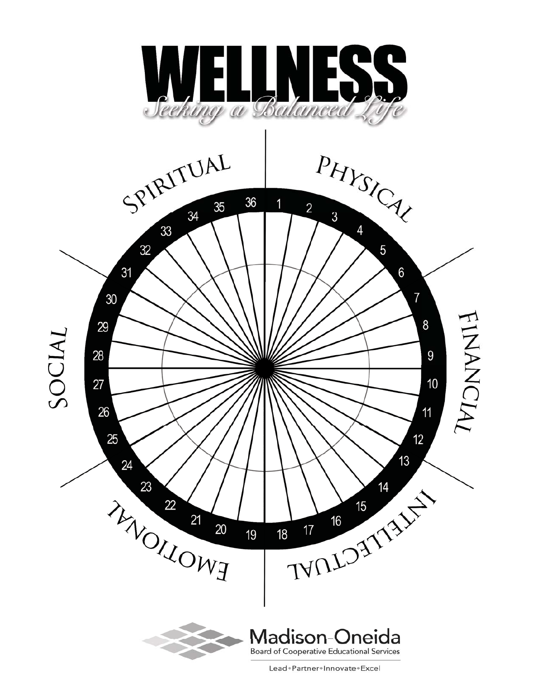

Lead+Partner+Innovate+Excel